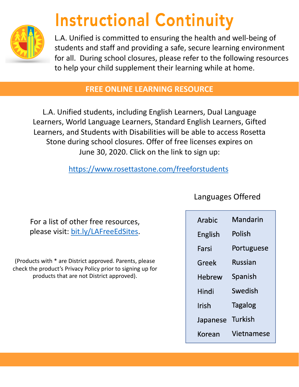

## **Instructional Continuity**

L.A. Unified is committed to ensuring the health and well-being of students and staff and providing a safe, secure learning environment for all. During school closures, please refer to the following resources to help your child supplement their learning while at home.

## **FREE ONLINE LEARNING RESOURCE**

L.A. Unified students, including English Learners, Dual Language Learners, World Language Learners, Standard English Learners, Gifted Learners, and Students with Disabilities will be able to access Rosetta Stone during school closures. Offer of free licenses expires on June 30, 2020. Click on the link to sign up:

<https://www.rosettastone.com/freeforstudents>

For a list of other free resources, please visit: [bit.ly/LAFreeEdSites.](http://bit.ly/LAFreeEdSites)

(Products with \* are District approved. Parents, please check the product's Privacy Policy prior to signing up for products that are not District approved).

Languages Offered

| Arabic        | Mandarin       |
|---------------|----------------|
| English       | Polish         |
| Farsi         | Portuguese     |
| Greek         | Russian        |
| <b>Hebrew</b> | Spanish        |
| Hindi         | Swedish        |
| Irish         | <b>Tagalog</b> |
| Japanese      | Turkish        |
| Korean        | Vietnamese     |